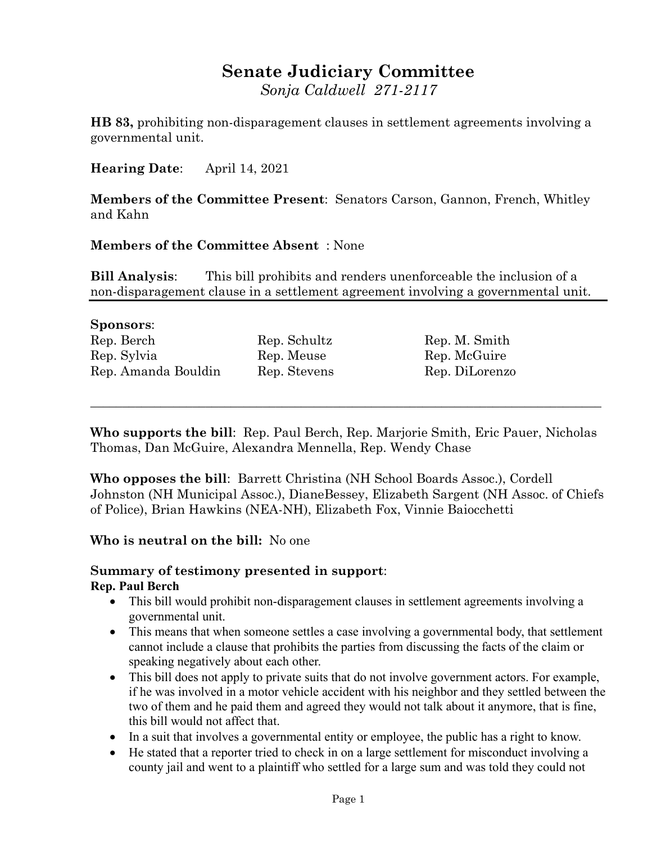# **Senate Judiciary Committee**

*Sonja Caldwell 271-2117*

**HB 83,** prohibiting non-disparagement clauses in settlement agreements involving a governmental unit.

**Hearing Date**: April 14, 2021

**Members of the Committee Present**: Senators Carson, Gannon, French, Whitley and Kahn

#### **Members of the Committee Absent** : None

**Bill Analysis**: This bill prohibits and renders unenforceable the inclusion of a non-disparagement clause in a settlement agreement involving a governmental unit.

#### **Sponsors**:

| Rep. Berch          | Re |
|---------------------|----|
| Rep. Sylvia         | Re |
| Rep. Amanda Bouldin | Re |

p. Schultz Rep. M. Smith p. Meuse Rep. McGuire p. Stevens Rep. DiLorenzo

**Who supports the bill**: Rep. Paul Berch, Rep. Marjorie Smith, Eric Pauer, Nicholas Thomas, Dan McGuire, Alexandra Mennella, Rep. Wendy Chase

\_\_\_\_\_\_\_\_\_\_\_\_\_\_\_\_\_\_\_\_\_\_\_\_\_\_\_\_\_\_\_\_\_\_\_\_\_\_\_\_\_\_\_\_\_\_\_\_\_\_\_\_\_\_\_\_\_\_\_\_\_\_\_\_\_\_\_\_\_\_\_\_\_\_\_\_\_\_\_\_

**Who opposes the bill**: Barrett Christina (NH School Boards Assoc.), Cordell Johnston (NH Municipal Assoc.), DianeBessey, Elizabeth Sargent (NH Assoc. of Chiefs of Police), Brian Hawkins (NEA-NH), Elizabeth Fox, Vinnie Baiocchetti

## **Who is neutral on the bill:** No one

#### **Summary of testimony presented in support**: **Rep. Paul Berch**

- This bill would prohibit non-disparagement clauses in settlement agreements involving a governmental unit.
- This means that when someone settles a case involving a governmental body, that settlement cannot include a clause that prohibits the parties from discussing the facts of the claim or speaking negatively about each other.
- This bill does not apply to private suits that do not involve government actors. For example, if he was involved in a motor vehicle accident with his neighbor and they settled between the two of them and he paid them and agreed they would not talk about it anymore, that is fine, this bill would not affect that.
- In a suit that involves a governmental entity or employee, the public has a right to know.
- He stated that a reporter tried to check in on a large settlement for misconduct involving a county jail and went to a plaintiff who settled for a large sum and was told they could not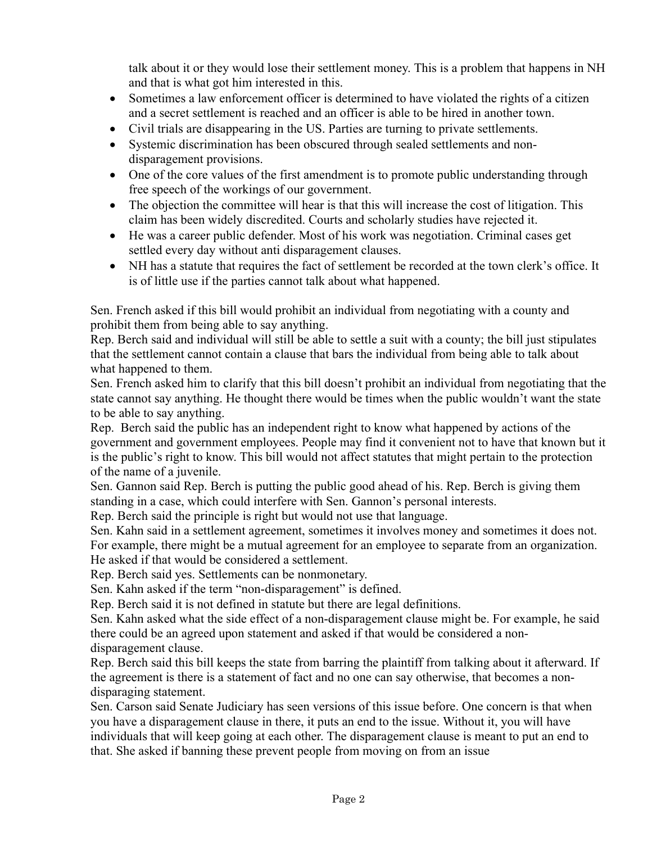talk about it or they would lose their settlement money. This is a problem that happens in NH and that is what got him interested in this.

- Sometimes a law enforcement officer is determined to have violated the rights of a citizen and a secret settlement is reached and an officer is able to be hired in another town.
- Civil trials are disappearing in the US. Parties are turning to private settlements.
- Systemic discrimination has been obscured through sealed settlements and nondisparagement provisions.
- One of the core values of the first amendment is to promote public understanding through free speech of the workings of our government.
- The objection the committee will hear is that this will increase the cost of litigation. This claim has been widely discredited. Courts and scholarly studies have rejected it.
- He was a career public defender. Most of his work was negotiation. Criminal cases get settled every day without anti disparagement clauses.
- NH has a statute that requires the fact of settlement be recorded at the town clerk's office. It is of little use if the parties cannot talk about what happened.

Sen. French asked if this bill would prohibit an individual from negotiating with a county and prohibit them from being able to say anything.

Rep. Berch said and individual will still be able to settle a suit with a county; the bill just stipulates that the settlement cannot contain a clause that bars the individual from being able to talk about what happened to them.

Sen. French asked him to clarify that this bill doesn't prohibit an individual from negotiating that the state cannot say anything. He thought there would be times when the public wouldn't want the state to be able to say anything.

Rep. Berch said the public has an independent right to know what happened by actions of the government and government employees. People may find it convenient not to have that known but it is the public's right to know. This bill would not affect statutes that might pertain to the protection of the name of a juvenile.

Sen. Gannon said Rep. Berch is putting the public good ahead of his. Rep. Berch is giving them standing in a case, which could interfere with Sen. Gannon's personal interests.

Rep. Berch said the principle is right but would not use that language.

Sen. Kahn said in a settlement agreement, sometimes it involves money and sometimes it does not. For example, there might be a mutual agreement for an employee to separate from an organization. He asked if that would be considered a settlement.

Rep. Berch said yes. Settlements can be nonmonetary.

Sen. Kahn asked if the term "non-disparagement" is defined.

Rep. Berch said it is not defined in statute but there are legal definitions.

Sen. Kahn asked what the side effect of a non-disparagement clause might be. For example, he said there could be an agreed upon statement and asked if that would be considered a nondisparagement clause.

Rep. Berch said this bill keeps the state from barring the plaintiff from talking about it afterward. If the agreement is there is a statement of fact and no one can say otherwise, that becomes a nondisparaging statement.

Sen. Carson said Senate Judiciary has seen versions of this issue before. One concern is that when you have a disparagement clause in there, it puts an end to the issue. Without it, you will have individuals that will keep going at each other. The disparagement clause is meant to put an end to that. She asked if banning these prevent people from moving on from an issue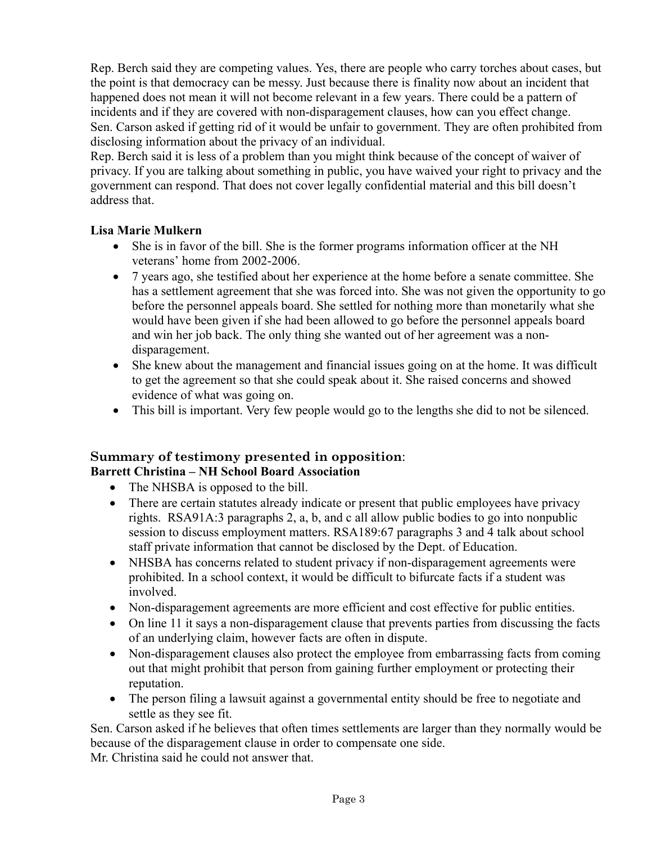Rep. Berch said they are competing values. Yes, there are people who carry torches about cases, but the point is that democracy can be messy. Just because there is finality now about an incident that happened does not mean it will not become relevant in a few years. There could be a pattern of incidents and if they are covered with non-disparagement clauses, how can you effect change. Sen. Carson asked if getting rid of it would be unfair to government. They are often prohibited from disclosing information about the privacy of an individual.

Rep. Berch said it is less of a problem than you might think because of the concept of waiver of privacy. If you are talking about something in public, you have waived your right to privacy and the government can respond. That does not cover legally confidential material and this bill doesn't address that.

#### **Lisa Marie Mulkern**

- She is in favor of the bill. She is the former programs information officer at the NH veterans' home from 2002-2006.
- 7 years ago, she testified about her experience at the home before a senate committee. She has a settlement agreement that she was forced into. She was not given the opportunity to go before the personnel appeals board. She settled for nothing more than monetarily what she would have been given if she had been allowed to go before the personnel appeals board and win her job back. The only thing she wanted out of her agreement was a nondisparagement.
- She knew about the management and financial issues going on at the home. It was difficult to get the agreement so that she could speak about it. She raised concerns and showed evidence of what was going on.
- This bill is important. Very few people would go to the lengths she did to not be silenced.

# **Summary of testimony presented in opposition**:

## **Barrett Christina – NH School Board Association**

- The NHSBA is opposed to the bill.
- There are certain statutes already indicate or present that public employees have privacy rights. RSA91A:3 paragraphs 2, a, b, and c all allow public bodies to go into nonpublic session to discuss employment matters. RSA189:67 paragraphs 3 and 4 talk about school staff private information that cannot be disclosed by the Dept. of Education.
- NHSBA has concerns related to student privacy if non-disparagement agreements were prohibited. In a school context, it would be difficult to bifurcate facts if a student was involved.
- Non-disparagement agreements are more efficient and cost effective for public entities.
- On line 11 it says a non-disparagement clause that prevents parties from discussing the facts of an underlying claim, however facts are often in dispute.
- Non-disparagement clauses also protect the employee from embarrassing facts from coming out that might prohibit that person from gaining further employment or protecting their reputation.
- The person filing a lawsuit against a governmental entity should be free to negotiate and settle as they see fit.

Sen. Carson asked if he believes that often times settlements are larger than they normally would be because of the disparagement clause in order to compensate one side.

Mr. Christina said he could not answer that.